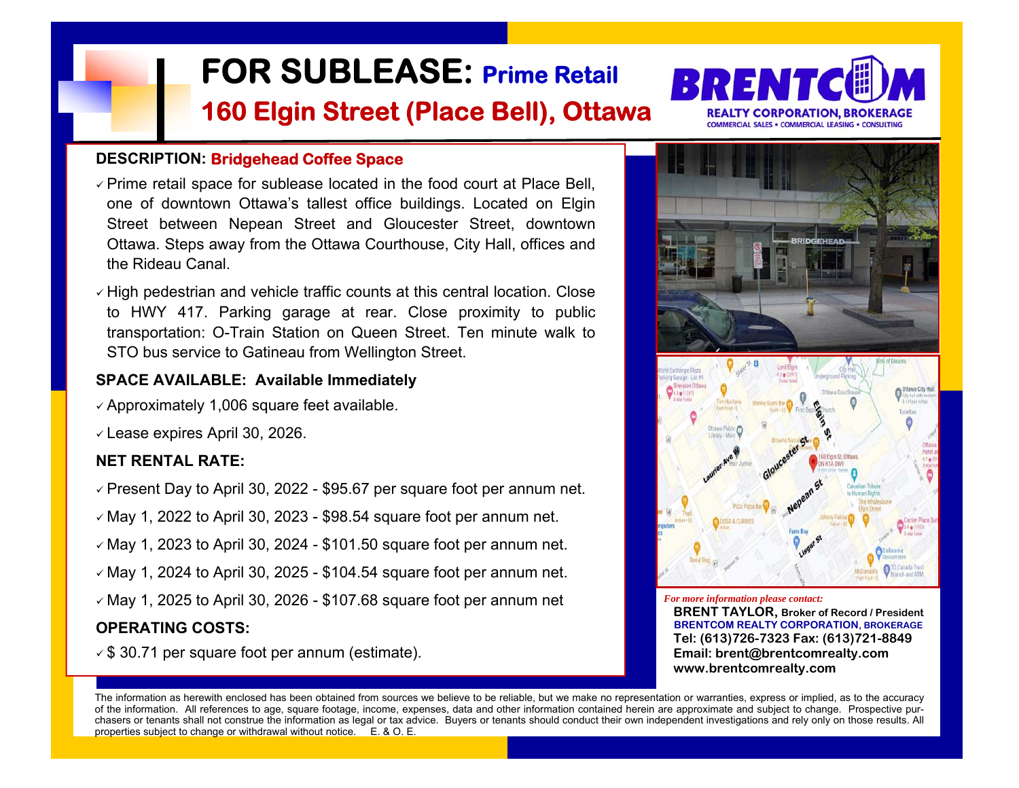

- $\checkmark$  Prime retail space for sublease located in the food court at Place Bell, one of downtown Ottawa's tallest office buildings. Located on Elgin Street between Nepean Street and Gloucester Street, downtown Ottawa. Steps away from the Ottawa Courthouse, City Hall, offices and the Rideau Canal. **FOR SUBLEASE: Prime Retail 160 Elgin Street (Place Bell), Ottawa**<br>
Prime relail space for sublease located in the food court at Place Bell,<br>
Prime relail space for sublease located in the food court at Place Bell,<br>
Street
- $\checkmark$  High pedestrian and vehicle traffic counts at this central location. Close to HWY 417. Parking garage at rear. Close proximity to public transportation: O-Train Station on Queen Street. Ten minute walk to STO bus service to Gatineau from Wellington Street.

## **SPACE AVAILABLE: Available Immediately**

- $\checkmark$  Approximately 1,006 square feet available.
- $\checkmark$  Lease expires April 30, 2026.

## **NET RENTAL RATE:**

- $\checkmark$  Present Day to April 30, 2022 \$95.67 per square foot per annum net.
- $\checkmark$  May 1, 2022 to April 30, 2023 \$98.54 square foot per annum net.
- $\checkmark$  May 1, 2023 to April 30, 2024 \$101.50 square foot per annum net.
- $\checkmark$  May 1, 2024 to April 30, 2025 \$104.54 square foot per annum net.
- $\sqrt{M}$  May 1, 2025 to April 30, 2026 \$107.68 square foot per annum net

## **OPERATING COSTS:**

*For more information please contact:*  **BRENT TAYLOR, Broker of Record / President BRENTCOM REALTY CORPORATION, BROKERAGE Tel: (613)726-7323 Fax: (613)721-8849 Email: brent@brentcomrealty.com** 

 **www.brentcomrealty.com**

The information as herewith enclosed has been obtained from sources we believe to be reliable, but we make no representation or warranties, express or implied, as to the accuracy of the information. All references to age, square footage, income, expenses, data and other information contained herein are approximate and subject to change. Prospective purchasers or tenants shall not construe the information as legal or tax advice. Buyers or tenants should conduct their own independent investigations and rely only on those results. All properties subject to change or withdrawal without notice.  $E = 8$  O. E.



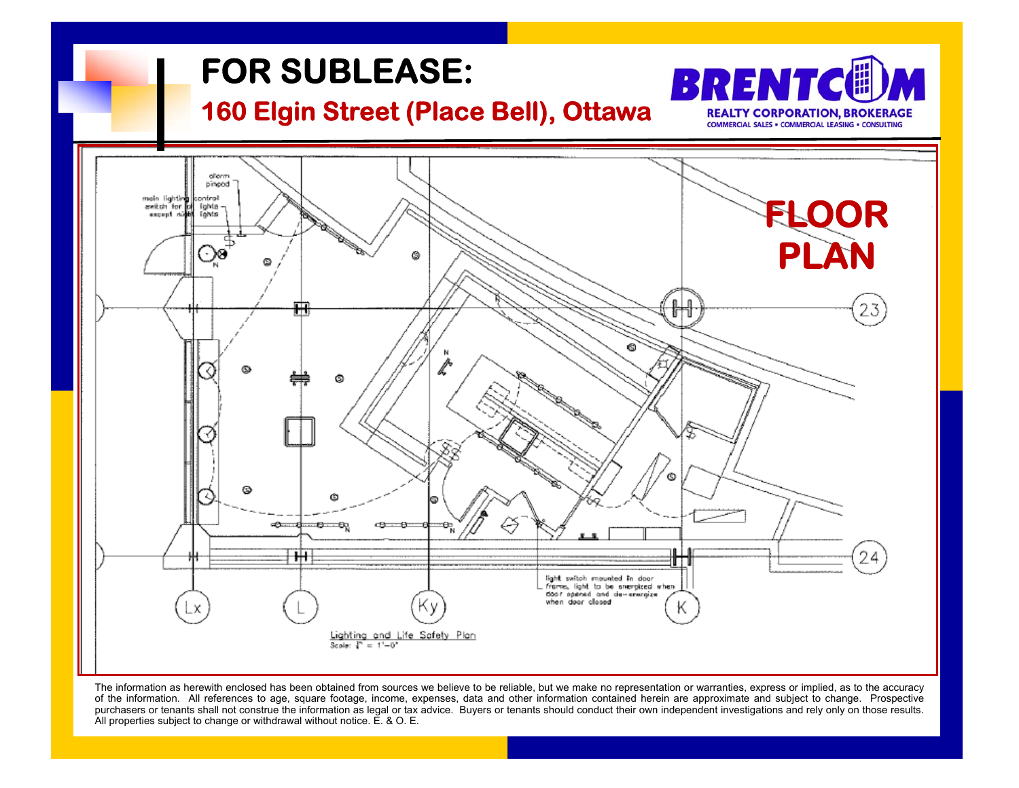

The information as herewith enclosed has been obtained from sources we believe to be reliable, but we make no representation or warranties, express or implied, as to the accuracy of the information. All references to age, square footage, income, expenses, data and other information contained herein are approximate and subject to change. Prospective purchasers or tenants shall not construe the information as legal or tax advice. Buyers or tenants should conduct their own independent investigations and rely only on those results.